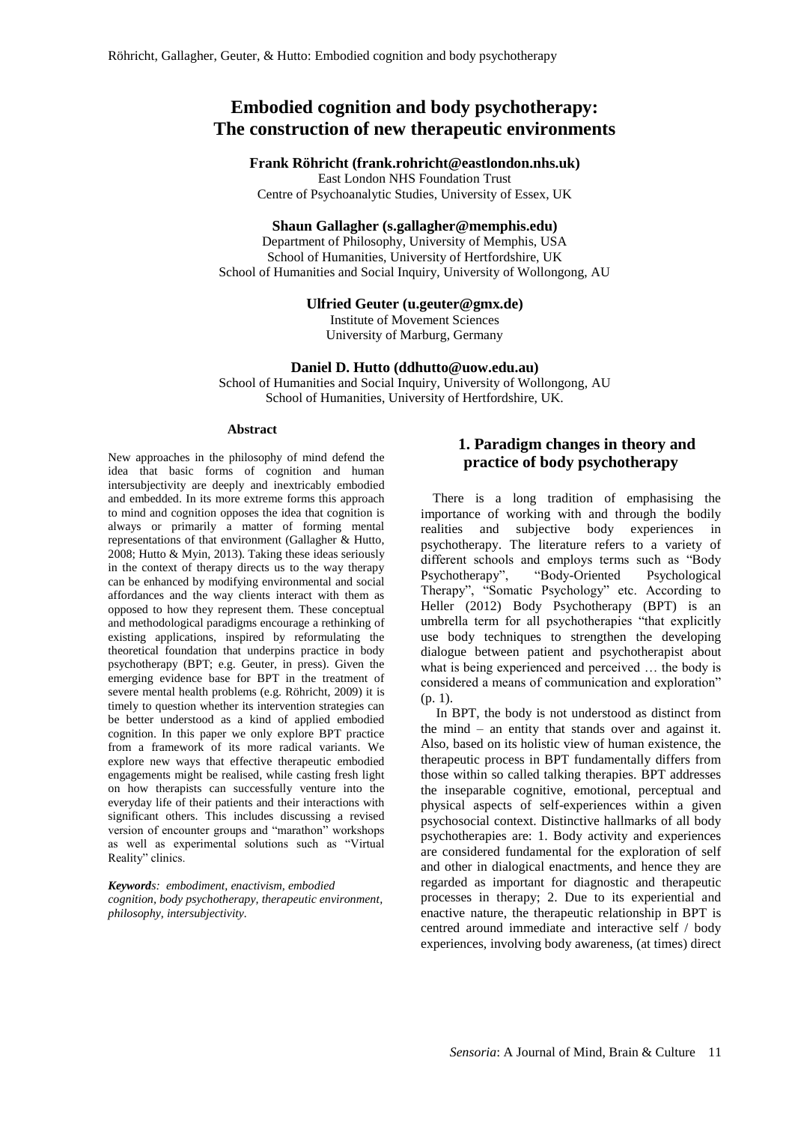# **Embodied cognition and body psychotherapy: The construction of new therapeutic environments**

### **Frank Röhricht (frank.rohricht@eastlondon.nhs.uk)**

East London NHS Foundation Trust

Centre of Psychoanalytic Studies, University of Essex, UK

### **Shaun Gallagher [\(s.gallagher@memphis.edu\)](https://webmail.eastlondon.nhs.uk/owa/?ae=Item&t=IPM.Note&a=New&to=s.gallagher%40memphis.edu&nm=s.gallagher%40memphis.edu)**

Department of Philosophy, University of Memphis, USA School of Humanities, University of Hertfordshire, UK School of Humanities and Social Inquiry, University of Wollongong, AU

### **Ulfried Geuter (u.geuter@gmx.de)**

Institute of Movement Sciences University of Marburg, Germany

### **Daniel D. Hutto (ddhutto@uow.edu.au)**

School of Humanities and Social Inquiry, University of Wollongong, AU School of Humanities, University of Hertfordshire, UK.

#### **Abstract**

New approaches in the philosophy of mind defend the idea that basic forms of cognition and human intersubjectivity are deeply and inextricably embodied and embedded. In its more extreme forms this approach to mind and cognition opposes the idea that cognition is always or primarily a matter of forming mental representations of that environment (Gallagher & Hutto, 2008; Hutto & Myin, 2013). Taking these ideas seriously in the context of therapy directs us to the way therapy can be enhanced by modifying environmental and social affordances and the way clients interact with them as opposed to how they represent them. These conceptual and methodological paradigms encourage a rethinking of existing applications, inspired by reformulating the theoretical foundation that underpins practice in body psychotherapy (BPT; e.g. Geuter, in press). Given the emerging evidence base for BPT in the treatment of severe mental health problems (e.g. Röhricht, 2009) it is timely to question whether its intervention strategies can be better understood as a kind of applied embodied cognition. In this paper we only explore BPT practice from a framework of its more radical variants. We explore new ways that effective therapeutic embodied engagements might be realised, while casting fresh light on how therapists can successfully venture into the everyday life of their patients and their interactions with significant others. This includes discussing a revised version of encounter groups and "marathon" workshops as well as experimental solutions such as "Virtual Reality" clinics.

*Keywords: embodiment, enactivism, embodied cognition, body psychotherapy, therapeutic environment, philosophy, intersubjectivity.*

# **1. Paradigm changes in theory and practice of body psychotherapy**

There is a long tradition of emphasising the importance of working with and through the bodily realities and subjective body experiences in psychotherapy. The literature refers to a variety of different schools and employs terms such as "Body Psychotherapy", "Body-Oriented Psychological Therapy", "Somatic Psychology" etc. According to Heller (2012) Body Psychotherapy (BPT) is an umbrella term for all psychotherapies "that explicitly use body techniques to strengthen the developing dialogue between patient and psychotherapist about what is being experienced and perceived … the body is considered a means of communication and exploration" (p. 1).

In BPT, the body is not understood as distinct from the mind – an entity that stands over and against it. Also, based on its holistic view of human existence, the therapeutic process in BPT fundamentally differs from those within so called talking therapies. BPT addresses the inseparable cognitive, emotional, perceptual and physical aspects of self-experiences within a given psychosocial context. Distinctive hallmarks of all body psychotherapies are: 1. Body activity and experiences are considered fundamental for the exploration of self and other in dialogical enactments, and hence they are regarded as important for diagnostic and therapeutic processes in therapy; 2. Due to its experiential and enactive nature, the therapeutic relationship in BPT is centred around immediate and interactive self / body experiences, involving body awareness, (at times) direct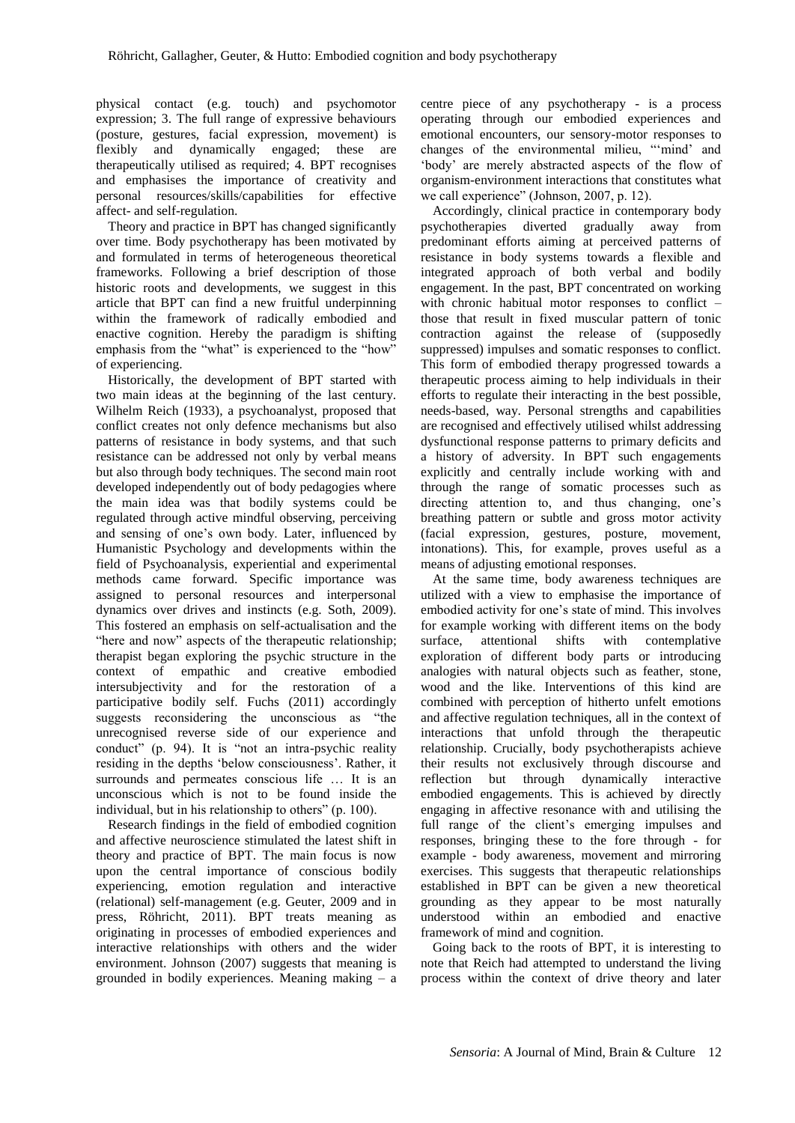physical contact (e.g. touch) and psychomotor expression; 3. The full range of expressive behaviours (posture, gestures, facial expression, movement) is flexibly and dynamically engaged; these are therapeutically utilised as required; 4. BPT recognises and emphasises the importance of creativity and personal resources/skills/capabilities for effective affect- and self-regulation.

Theory and practice in BPT has changed significantly over time. Body psychotherapy has been motivated by and formulated in terms of heterogeneous theoretical frameworks. Following a brief description of those historic roots and developments, we suggest in this article that BPT can find a new fruitful underpinning within the framework of radically embodied and enactive cognition. Hereby the paradigm is shifting emphasis from the "what" is experienced to the "how" of experiencing.

Historically, the development of BPT started with two main ideas at the beginning of the last century. Wilhelm Reich (1933), a psychoanalyst, proposed that conflict creates not only defence mechanisms but also patterns of resistance in body systems, and that such resistance can be addressed not only by verbal means but also through body techniques. The second main root developed independently out of body pedagogies where the main idea was that bodily systems could be regulated through active mindful observing, perceiving and sensing of one's own body. Later, influenced by Humanistic Psychology and developments within the field of Psychoanalysis, experiential and experimental methods came forward. Specific importance was assigned to personal resources and interpersonal dynamics over drives and instincts (e.g. Soth, 2009). This fostered an emphasis on self-actualisation and the "here and now" aspects of the therapeutic relationship; therapist began exploring the psychic structure in the context of empathic and creative embodied intersubjectivity and for the restoration of a participative bodily self. Fuchs (2011) accordingly suggests reconsidering the unconscious as "the unrecognised reverse side of our experience and conduct" (p. 94). It is "not an intra-psychic reality residing in the depths 'below consciousness'. Rather, it surrounds and permeates conscious life … It is an unconscious which is not to be found inside the individual, but in his relationship to others" (p. 100).

Research findings in the field of embodied cognition and affective neuroscience stimulated the latest shift in theory and practice of BPT. The main focus is now upon the central importance of conscious bodily experiencing, emotion regulation and interactive (relational) self-management (e.g. Geuter, 2009 and in press, Röhricht, 2011). BPT treats meaning as originating in processes of embodied experiences and interactive relationships with others and the wider environment. Johnson (2007) suggests that meaning is grounded in bodily experiences. Meaning making – a

centre piece of any psychotherapy - is a process operating through our embodied experiences and emotional encounters, our sensory-motor responses to changes of the environmental milieu, "'mind' and 'body' are merely abstracted aspects of the flow of organism-environment interactions that constitutes what we call experience" (Johnson, 2007, p. 12).

Accordingly, clinical practice in contemporary body psychotherapies diverted gradually away from predominant efforts aiming at perceived patterns of resistance in body systems towards a flexible and integrated approach of both verbal and bodily engagement. In the past, BPT concentrated on working with chronic habitual motor responses to conflict – those that result in fixed muscular pattern of tonic contraction against the release of (supposedly suppressed) impulses and somatic responses to conflict. This form of embodied therapy progressed towards a therapeutic process aiming to help individuals in their efforts to regulate their interacting in the best possible, needs-based, way. Personal strengths and capabilities are recognised and effectively utilised whilst addressing dysfunctional response patterns to primary deficits and a history of adversity. In BPT such engagements explicitly and centrally include working with and through the range of somatic processes such as directing attention to, and thus changing, one's breathing pattern or subtle and gross motor activity (facial expression, gestures, posture, movement, intonations). This, for example, proves useful as a means of adjusting emotional responses.

At the same time, body awareness techniques are utilized with a view to emphasise the importance of embodied activity for one's state of mind. This involves for example working with different items on the body surface, attentional shifts with contemplative exploration of different body parts or introducing analogies with natural objects such as feather, stone, wood and the like. Interventions of this kind are combined with perception of hitherto unfelt emotions and affective regulation techniques, all in the context of interactions that unfold through the therapeutic relationship. Crucially, body psychotherapists achieve their results not exclusively through discourse and reflection but through dynamically interactive embodied engagements. This is achieved by directly engaging in affective resonance with and utilising the full range of the client's emerging impulses and responses, bringing these to the fore through - for example - body awareness, movement and mirroring exercises. This suggests that therapeutic relationships established in BPT can be given a new theoretical grounding as they appear to be most naturally understood within an embodied and enactive framework of mind and cognition.

Going back to the roots of BPT, it is interesting to note that Reich had attempted to understand the living process within the context of drive theory and later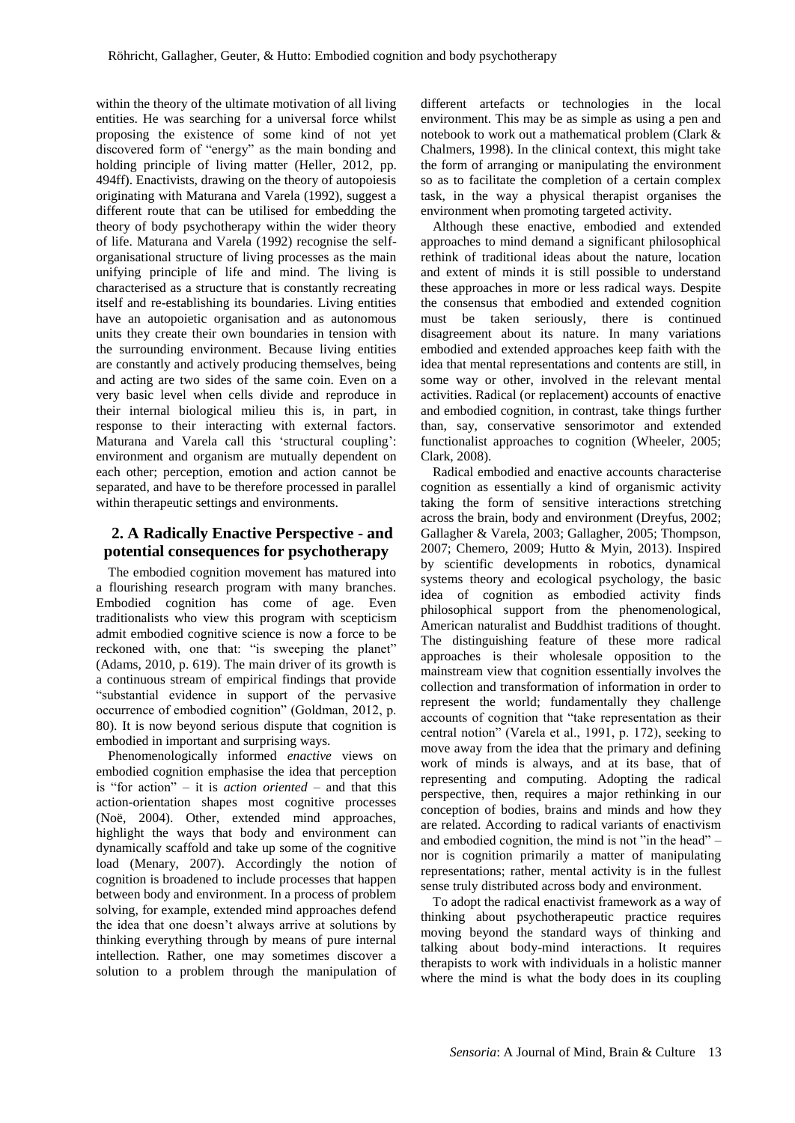within the theory of the ultimate motivation of all living entities. He was searching for a universal force whilst proposing the existence of some kind of not yet discovered form of "energy" as the main bonding and holding principle of living matter (Heller, 2012, pp. 494ff). Enactivists, drawing on the theory of autopoiesis originating with Maturana and Varela (1992), suggest a different route that can be utilised for embedding the theory of body psychotherapy within the wider theory of life. Maturana and Varela (1992) recognise the selforganisational structure of living processes as the main unifying principle of life and mind. The living is characterised as a structure that is constantly recreating itself and re-establishing its boundaries. Living entities have an autopoietic organisation and as autonomous units they create their own boundaries in tension with the surrounding environment. Because living entities are constantly and actively producing themselves, being and acting are two sides of the same coin. Even on a very basic level when cells divide and reproduce in their internal biological milieu this is, in part, in response to their interacting with external factors. Maturana and Varela call this 'structural coupling': environment and organism are mutually dependent on each other; perception, emotion and action cannot be separated, and have to be therefore processed in parallel within therapeutic settings and environments.

## **2. A Radically Enactive Perspective - and potential consequences for psychotherapy**

The embodied cognition movement has matured into a flourishing research program with many branches. Embodied cognition has come of age. Even traditionalists who view this program with scepticism admit embodied cognitive science is now a force to be reckoned with, one that: "is sweeping the planet" (Adams, 2010, p. 619). The main driver of its growth is a continuous stream of empirical findings that provide "substantial evidence in support of the pervasive occurrence of embodied cognition" (Goldman, 2012, p. 80). It is now beyond serious dispute that cognition is embodied in important and surprising ways.

Phenomenologically informed *enactive* views on embodied cognition emphasise the idea that perception is "for action" – it is *action oriented* – and that this action-orientation shapes most cognitive processes (Noë, 2004). Other, extended mind approaches, highlight the ways that body and environment can dynamically scaffold and take up some of the cognitive load (Menary, 2007). Accordingly the notion of cognition is broadened to include processes that happen between body and environment. In a process of problem solving, for example, extended mind approaches defend the idea that one doesn't always arrive at solutions by thinking everything through by means of pure internal intellection. Rather, one may sometimes discover a solution to a problem through the manipulation of

different artefacts or technologies in the local environment. This may be as simple as using a pen and notebook to work out a mathematical problem (Clark & Chalmers, 1998). In the clinical context, this might take the form of arranging or manipulating the environment so as to facilitate the completion of a certain complex task, in the way a physical therapist organises the environment when promoting targeted activity.

Although these enactive, embodied and extended approaches to mind demand a significant philosophical rethink of traditional ideas about the nature, location and extent of minds it is still possible to understand these approaches in more or less radical ways. Despite the consensus that embodied and extended cognition must be taken seriously, there is continued disagreement about its nature. In many variations embodied and extended approaches keep faith with the idea that mental representations and contents are still, in some way or other, involved in the relevant mental activities. Radical (or replacement) accounts of enactive and embodied cognition, in contrast, take things further than, say, conservative sensorimotor and extended functionalist approaches to cognition (Wheeler, 2005; Clark, 2008).

Radical embodied and enactive accounts characterise cognition as essentially a kind of organismic activity taking the form of sensitive interactions stretching across the brain, body and environment (Dreyfus, 2002; Gallagher & Varela, 2003; Gallagher, 2005; Thompson, 2007; Chemero, 2009; Hutto & Myin, 2013). Inspired by scientific developments in robotics, dynamical systems theory and ecological psychology, the basic idea of cognition as embodied activity finds philosophical support from the phenomenological, American naturalist and Buddhist traditions of thought. The distinguishing feature of these more radical approaches is their wholesale opposition to the mainstream view that cognition essentially involves the collection and transformation of information in order to represent the world; fundamentally they challenge accounts of cognition that "take representation as their central notion" (Varela et al., 1991, p. 172), seeking to move away from the idea that the primary and defining work of minds is always, and at its base, that of representing and computing. Adopting the radical perspective, then, requires a major rethinking in our conception of bodies, brains and minds and how they are related. According to radical variants of enactivism and embodied cognition, the mind is not "in the head" – nor is cognition primarily a matter of manipulating representations; rather, mental activity is in the fullest sense truly distributed across body and environment.

To adopt the radical enactivist framework as a way of thinking about psychotherapeutic practice requires moving beyond the standard ways of thinking and talking about body-mind interactions. It requires therapists to work with individuals in a holistic manner where the mind is what the body does in its coupling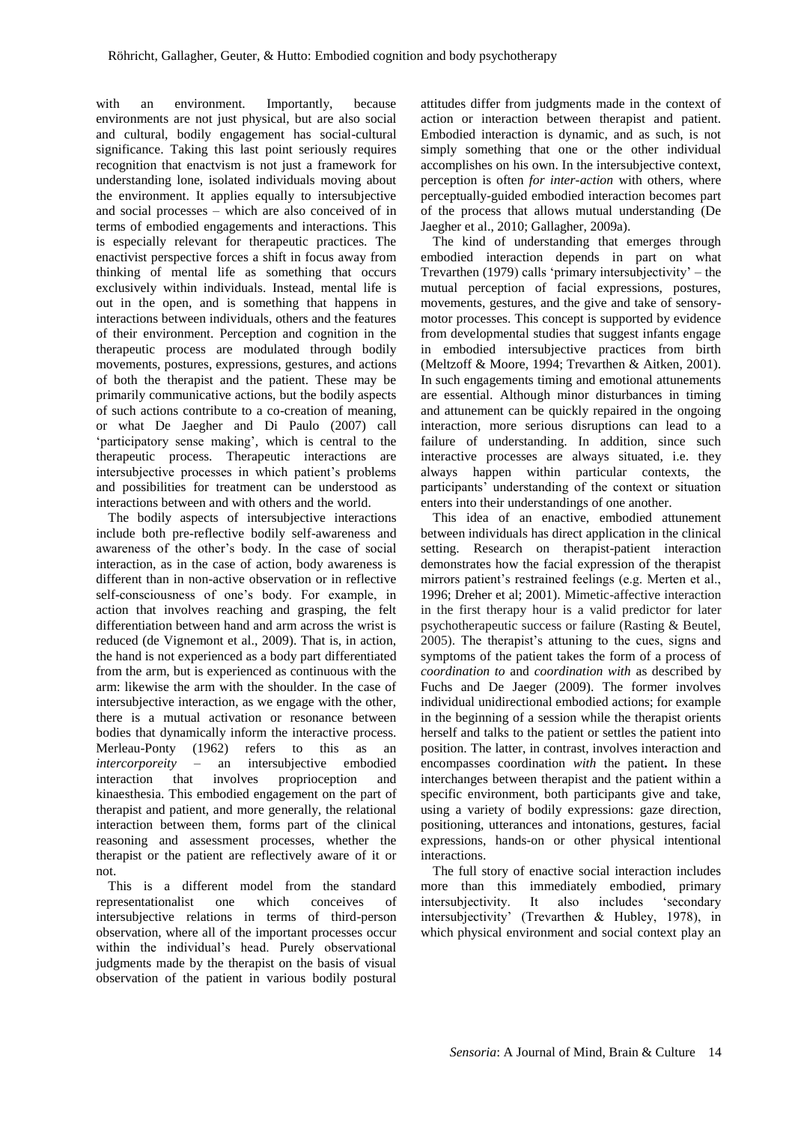with an environment. Importantly, because environments are not just physical, but are also social and cultural, bodily engagement has social-cultural significance. Taking this last point seriously requires recognition that enactvism is not just a framework for understanding lone, isolated individuals moving about the environment. It applies equally to intersubjective and social processes – which are also conceived of in terms of embodied engagements and interactions. This is especially relevant for therapeutic practices. The enactivist perspective forces a shift in focus away from thinking of mental life as something that occurs exclusively within individuals. Instead, mental life is out in the open, and is something that happens in interactions between individuals, others and the features of their environment. Perception and cognition in the therapeutic process are modulated through bodily movements, postures, expressions, gestures, and actions of both the therapist and the patient. These may be primarily communicative actions, but the bodily aspects of such actions contribute to a co-creation of meaning, or what De Jaegher and Di Paulo (2007) call 'participatory sense making', which is central to the therapeutic process. Therapeutic interactions are intersubjective processes in which patient's problems and possibilities for treatment can be understood as interactions between and with others and the world.

The bodily aspects of intersubjective interactions include both pre-reflective bodily self-awareness and awareness of the other's body. In the case of social interaction, as in the case of action, body awareness is different than in non-active observation or in reflective self-consciousness of one's body. For example, in action that involves reaching and grasping, the felt differentiation between hand and arm across the wrist is reduced (de Vignemont et al., 2009). That is, in action, the hand is not experienced as a body part differentiated from the arm, but is experienced as continuous with the arm: likewise the arm with the shoulder. In the case of intersubjective interaction, as we engage with the other, there is a mutual activation or resonance between bodies that dynamically inform the interactive process. Merleau-Ponty (1962) refers to this as an *intercorporeity* – an intersubjective embodied interaction that involves proprioception and kinaesthesia. This embodied engagement on the part of therapist and patient, and more generally, the relational interaction between them, forms part of the clinical reasoning and assessment processes, whether the therapist or the patient are reflectively aware of it or not.

This is a different model from the standard representationalist one which conceives of intersubjective relations in terms of third-person observation, where all of the important processes occur within the individual's head. Purely observational judgments made by the therapist on the basis of visual observation of the patient in various bodily postural

attitudes differ from judgments made in the context of action or interaction between therapist and patient. Embodied interaction is dynamic, and as such, is not simply something that one or the other individual accomplishes on his own. In the intersubjective context, perception is often *for inter-action* with others, where perceptually-guided embodied interaction becomes part of the process that allows mutual understanding (De Jaegher et al., 2010; Gallagher, 2009a).

The kind of understanding that emerges through embodied interaction depends in part on what Trevarthen (1979) calls 'primary intersubjectivity' – the mutual perception of facial expressions, postures, movements, gestures, and the give and take of sensorymotor processes. This concept is supported by evidence from developmental studies that suggest infants engage in embodied intersubjective practices from birth (Meltzoff & Moore, 1994; Trevarthen & Aitken, 2001). In such engagements timing and emotional attunements are essential. Although minor disturbances in timing and attunement can be quickly repaired in the ongoing interaction, more serious disruptions can lead to a failure of understanding. In addition, since such interactive processes are always situated, i.e. they always happen within particular contexts, the participants' understanding of the context or situation enters into their understandings of one another.

This idea of an enactive, embodied attunement between individuals has direct application in the clinical setting. Research on therapist-patient interaction demonstrates how the facial expression of the therapist mirrors patient's restrained feelings (e.g. Merten et al., 1996; Dreher et al; 2001). Mimetic-affective interaction in the first therapy hour is a valid predictor for later psychotherapeutic success or failure (Rasting & Beutel, 2005). The therapist's attuning to the cues, signs and symptoms of the patient takes the form of a process of *coordination to* and *coordination with* as described by Fuchs and De Jaeger (2009). The former involves individual unidirectional embodied actions; for example in the beginning of a session while the therapist orients herself and talks to the patient or settles the patient into position. The latter, in contrast, involves interaction and encompasses coordination *with* the patient**.** In these interchanges between therapist and the patient within a specific environment, both participants give and take, using a variety of bodily expressions: gaze direction, positioning, utterances and intonations, gestures, facial expressions, hands-on or other physical intentional interactions.

The full story of enactive social interaction includes more than this immediately embodied, primary intersubjectivity. It also includes 'secondary intersubjectivity' (Trevarthen & Hubley, 1978), in which physical environment and social context play an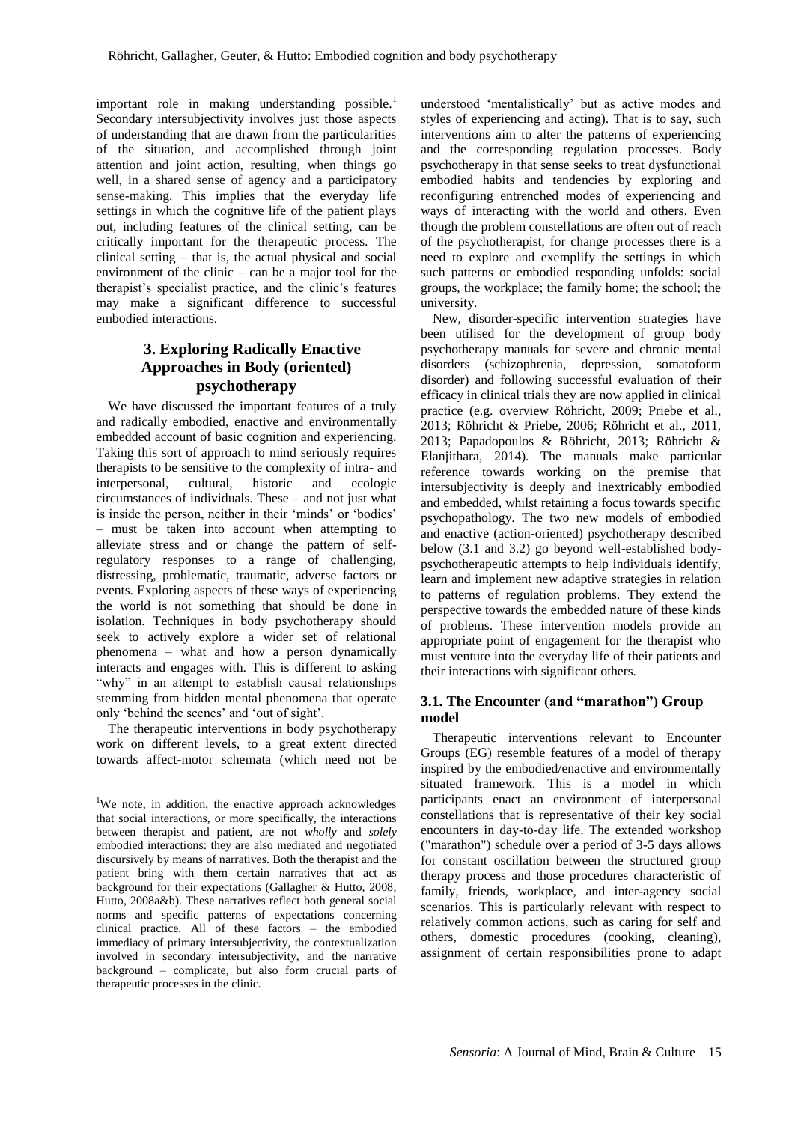important role in making understanding possible.<sup>1</sup> Secondary intersubjectivity involves just those aspects of understanding that are drawn from the particularities of the situation, and accomplished through joint attention and joint action, resulting, when things go well, in a shared sense of agency and a participatory sense-making. This implies that the everyday life settings in which the cognitive life of the patient plays out, including features of the clinical setting, can be critically important for the therapeutic process. The clinical setting – that is, the actual physical and social environment of the clinic – can be a major tool for the therapist's specialist practice, and the clinic's features may make a significant difference to successful embodied interactions.

# **3. Exploring Radically Enactive Approaches in Body (oriented) psychotherapy**

We have discussed the important features of a truly and radically embodied, enactive and environmentally embedded account of basic cognition and experiencing. Taking this sort of approach to mind seriously requires therapists to be sensitive to the complexity of intra- and interpersonal, cultural, historic and ecologic circumstances of individuals. These – and not just what is inside the person, neither in their 'minds' or 'bodies' – must be taken into account when attempting to alleviate stress and or change the pattern of selfregulatory responses to a range of challenging, distressing, problematic, traumatic, adverse factors or events. Exploring aspects of these ways of experiencing the world is not something that should be done in isolation. Techniques in body psychotherapy should seek to actively explore a wider set of relational phenomena – what and how a person dynamically interacts and engages with. This is different to asking "why" in an attempt to establish causal relationships stemming from hidden mental phenomena that operate only 'behind the scenes' and 'out of sight'.

The therapeutic interventions in body psychotherapy work on different levels, to a great extent directed towards affect-motor schemata (which need not be

1

understood 'mentalistically' but as active modes and styles of experiencing and acting). That is to say, such interventions aim to alter the patterns of experiencing and the corresponding regulation processes. Body psychotherapy in that sense seeks to treat dysfunctional embodied habits and tendencies by exploring and reconfiguring entrenched modes of experiencing and ways of interacting with the world and others. Even though the problem constellations are often out of reach of the psychotherapist, for change processes there is a need to explore and exemplify the settings in which such patterns or embodied responding unfolds: social groups, the workplace; the family home; the school; the university.

New, disorder-specific intervention strategies have been utilised for the development of group body psychotherapy manuals for severe and chronic mental disorders (schizophrenia, depression, somatoform disorder) and following successful evaluation of their efficacy in clinical trials they are now applied in clinical practice (e.g. overview Röhricht, 2009; Priebe et al., 2013; Röhricht & Priebe, 2006; Röhricht et al., 2011, 2013; Papadopoulos & Röhricht, 2013; Röhricht & Elanjithara, 2014). The manuals make particular reference towards working on the premise that intersubjectivity is deeply and inextricably embodied and embedded, whilst retaining a focus towards specific psychopathology. The two new models of embodied and enactive (action-oriented) psychotherapy described below (3.1 and 3.2) go beyond well-established bodypsychotherapeutic attempts to help individuals identify, learn and implement new adaptive strategies in relation to patterns of regulation problems. They extend the perspective towards the embedded nature of these kinds of problems. These intervention models provide an appropriate point of engagement for the therapist who must venture into the everyday life of their patients and their interactions with significant others.

### **3.1. The Encounter (and "marathon") Group model**

Therapeutic interventions relevant to Encounter Groups (EG) resemble features of a model of therapy inspired by the embodied/enactive and environmentally situated framework. This is a model in which participants enact an environment of interpersonal constellations that is representative of their key social encounters in day-to-day life. The extended workshop ("marathon") schedule over a period of 3-5 days allows for constant oscillation between the structured group therapy process and those procedures characteristic of family, friends, workplace, and inter-agency social scenarios. This is particularly relevant with respect to relatively common actions, such as caring for self and others, domestic procedures (cooking, cleaning), assignment of certain responsibilities prone to adapt

<sup>&</sup>lt;sup>1</sup>We note, in addition, the enactive approach acknowledges that social interactions, or more specifically, the interactions between therapist and patient, are not *wholly* and *solely* embodied interactions: they are also mediated and negotiated discursively by means of narratives. Both the therapist and the patient bring with them certain narratives that act as background for their expectations (Gallagher & Hutto, 2008; Hutto, 2008a&b). These narratives reflect both general social norms and specific patterns of expectations concerning clinical practice. All of these factors – the embodied immediacy of primary intersubjectivity, the contextualization involved in secondary intersubjectivity, and the narrative background – complicate, but also form crucial parts of therapeutic processes in the clinic.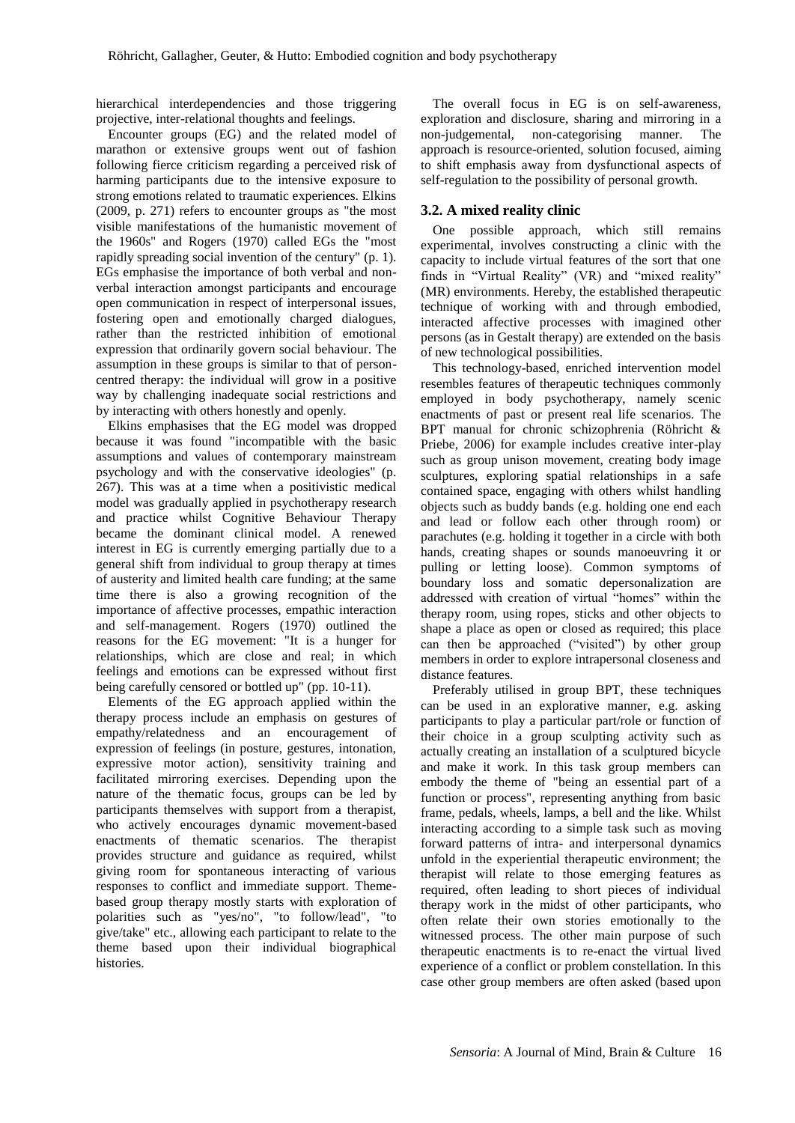hierarchical interdependencies and those triggering projective, inter-relational thoughts and feelings.

Encounter groups (EG) and the related model of marathon or extensive groups went out of fashion following fierce criticism regarding a perceived risk of harming participants due to the intensive exposure to strong emotions related to traumatic experiences. Elkins (2009, p. 271) refers to encounter groups as "the most visible manifestations of the humanistic movement of the 1960s" and Rogers (1970) called EGs the "most rapidly spreading social invention of the century" (p. 1). EGs emphasise the importance of both verbal and nonverbal interaction amongst participants and encourage open communication in respect of interpersonal issues, fostering open and emotionally charged dialogues, rather than the restricted inhibition of emotional expression that ordinarily govern social behaviour. The assumption in these groups is similar to that of personcentred therapy: the individual will grow in a positive way by challenging inadequate social restrictions and by interacting with others honestly and openly.

Elkins emphasises that the EG model was dropped because it was found "incompatible with the basic assumptions and values of contemporary mainstream psychology and with the conservative ideologies" (p. 267). This was at a time when a positivistic medical model was gradually applied in psychotherapy research and practice whilst Cognitive Behaviour Therapy became the dominant clinical model. A renewed interest in EG is currently emerging partially due to a general shift from individual to group therapy at times of austerity and limited health care funding; at the same time there is also a growing recognition of the importance of affective processes, empathic interaction and self-management. Rogers (1970) outlined the reasons for the EG movement: "It is a hunger for relationships, which are close and real; in which feelings and emotions can be expressed without first being carefully censored or bottled up" (pp. 10-11).

Elements of the EG approach applied within the therapy process include an emphasis on gestures of empathy/relatedness and an encouragement of expression of feelings (in posture, gestures, intonation, expressive motor action), sensitivity training and facilitated mirroring exercises. Depending upon the nature of the thematic focus, groups can be led by participants themselves with support from a therapist, who actively encourages dynamic movement-based enactments of thematic scenarios. The therapist provides structure and guidance as required, whilst giving room for spontaneous interacting of various responses to conflict and immediate support. Themebased group therapy mostly starts with exploration of polarities such as "yes/no", "to follow/lead", "to give/take" etc., allowing each participant to relate to the theme based upon their individual biographical histories.

The overall focus in EG is on self-awareness, exploration and disclosure, sharing and mirroring in a non-judgemental, non-categorising manner. The approach is resource-oriented, solution focused, aiming to shift emphasis away from dysfunctional aspects of self-regulation to the possibility of personal growth.

### **3.2. A mixed reality clinic**

One possible approach, which still remains experimental, involves constructing a clinic with the capacity to include virtual features of the sort that one finds in "Virtual Reality" (VR) and "mixed reality" (MR) environments. Hereby, the established therapeutic technique of working with and through embodied, interacted affective processes with imagined other persons (as in Gestalt therapy) are extended on the basis of new technological possibilities.

This technology-based, enriched intervention model resembles features of therapeutic techniques commonly employed in body psychotherapy, namely scenic enactments of past or present real life scenarios. The BPT manual for chronic schizophrenia (Röhricht & Priebe, 2006) for example includes creative inter-play such as group unison movement, creating body image sculptures, exploring spatial relationships in a safe contained space, engaging with others whilst handling objects such as buddy bands (e.g. holding one end each and lead or follow each other through room) or parachutes (e.g. holding it together in a circle with both hands, creating shapes or sounds manoeuvring it or pulling or letting loose). Common symptoms of boundary loss and somatic depersonalization are addressed with creation of virtual "homes" within the therapy room, using ropes, sticks and other objects to shape a place as open or closed as required; this place can then be approached ("visited") by other group members in order to explore intrapersonal closeness and distance features.

Preferably utilised in group BPT, these techniques can be used in an explorative manner, e.g. asking participants to play a particular part/role or function of their choice in a group sculpting activity such as actually creating an installation of a sculptured bicycle and make it work. In this task group members can embody the theme of "being an essential part of a function or process", representing anything from basic frame, pedals, wheels, lamps, a bell and the like. Whilst interacting according to a simple task such as moving forward patterns of intra- and interpersonal dynamics unfold in the experiential therapeutic environment; the therapist will relate to those emerging features as required, often leading to short pieces of individual therapy work in the midst of other participants, who often relate their own stories emotionally to the witnessed process. The other main purpose of such therapeutic enactments is to re-enact the virtual lived experience of a conflict or problem constellation. In this case other group members are often asked (based upon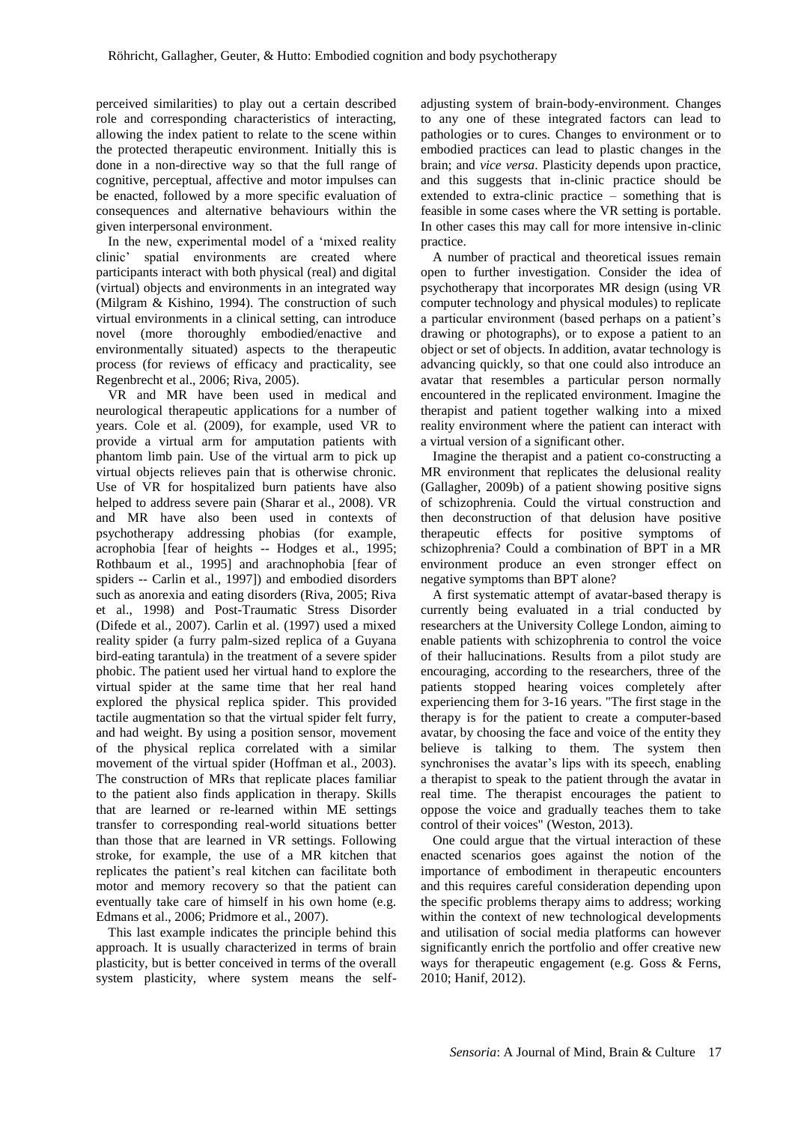perceived similarities) to play out a certain described role and corresponding characteristics of interacting, allowing the index patient to relate to the scene within the protected therapeutic environment. Initially this is done in a non-directive way so that the full range of cognitive, perceptual, affective and motor impulses can be enacted, followed by a more specific evaluation of consequences and alternative behaviours within the given interpersonal environment.

In the new, experimental model of a 'mixed reality clinic' spatial environments are created where participants interact with both physical (real) and digital (virtual) objects and environments in an integrated way (Milgram & Kishino, 1994). The construction of such virtual environments in a clinical setting, can introduce novel (more thoroughly embodied/enactive and environmentally situated) aspects to the therapeutic process (for reviews of efficacy and practicality, see Regenbrecht et al., 2006; Riva, 2005).

VR and MR have been used in medical and neurological therapeutic applications for a number of years. Cole et al. (2009), for example, used VR to provide a virtual arm for amputation patients with phantom limb pain. Use of the virtual arm to pick up virtual objects relieves pain that is otherwise chronic. Use of VR for hospitalized burn patients have also helped to address severe pain (Sharar et al., 2008). VR and MR have also been used in contexts of psychotherapy addressing phobias (for example, acrophobia [fear of heights -- Hodges et al., 1995; Rothbaum et al., 1995] and arachnophobia [fear of spiders -- Carlin et al., 1997]) and embodied disorders such as anorexia and eating disorders (Riva, 2005; Riva et al., 1998) and Post-Traumatic Stress Disorder (Difede et al., 2007). Carlin et al. (1997) used a mixed reality spider (a furry palm-sized replica of a Guyana bird-eating tarantula) in the treatment of a severe spider phobic. The patient used her virtual hand to explore the virtual spider at the same time that her real hand explored the physical replica spider. This provided tactile augmentation so that the virtual spider felt furry, and had weight. By using a position sensor, movement of the physical replica correlated with a similar movement of the virtual spider (Hoffman et al., 2003). The construction of MRs that replicate places familiar to the patient also finds application in therapy. Skills that are learned or re-learned within ME settings transfer to corresponding real-world situations better than those that are learned in VR settings. Following stroke, for example, the use of a MR kitchen that replicates the patient's real kitchen can facilitate both motor and memory recovery so that the patient can eventually take care of himself in his own home (e.g. Edmans et al., 2006; Pridmore et al., 2007).

This last example indicates the principle behind this approach. It is usually characterized in terms of brain plasticity, but is better conceived in terms of the overall system plasticity, where system means the self-

adjusting system of brain-body-environment. Changes to any one of these integrated factors can lead to pathologies or to cures. Changes to environment or to embodied practices can lead to plastic changes in the brain; and *vice versa*. Plasticity depends upon practice, and this suggests that in-clinic practice should be extended to extra-clinic practice – something that is feasible in some cases where the VR setting is portable. In other cases this may call for more intensive in-clinic practice.

A number of practical and theoretical issues remain open to further investigation. Consider the idea of psychotherapy that incorporates MR design (using VR computer technology and physical modules) to replicate a particular environment (based perhaps on a patient's drawing or photographs), or to expose a patient to an object or set of objects. In addition, avatar technology is advancing quickly, so that one could also introduce an avatar that resembles a particular person normally encountered in the replicated environment. Imagine the therapist and patient together walking into a mixed reality environment where the patient can interact with a virtual version of a significant other.

Imagine the therapist and a patient co-constructing a MR environment that replicates the delusional reality (Gallagher, 2009b) of a patient showing positive signs of schizophrenia. Could the virtual construction and then deconstruction of that delusion have positive therapeutic effects for positive symptoms of schizophrenia? Could a combination of BPT in a MR environment produce an even stronger effect on negative symptoms than BPT alone?

A first systematic attempt of avatar-based therapy is currently being evaluated in a trial conducted by researchers at the University College London, aiming to enable patients with schizophrenia to control the voice of their hallucinations. Results from a pilot study are encouraging, according to the researchers, three of the patients stopped hearing voices completely after experiencing them for 3-16 years. "The first stage in the therapy is for the patient to create a computer-based avatar, by choosing the face and voice of the entity they believe is talking to them. The system then synchronises the avatar's lips with its speech, enabling a therapist to speak to the patient through the avatar in real time. The therapist encourages the patient to oppose the voice and gradually teaches them to take control of their voices" (Weston, 2013).

One could argue that the virtual interaction of these enacted scenarios goes against the notion of the importance of embodiment in therapeutic encounters and this requires careful consideration depending upon the specific problems therapy aims to address; working within the context of new technological developments and utilisation of social media platforms can however significantly enrich the portfolio and offer creative new ways for therapeutic engagement (e.g. Goss & Ferns, 2010; Hanif, 2012).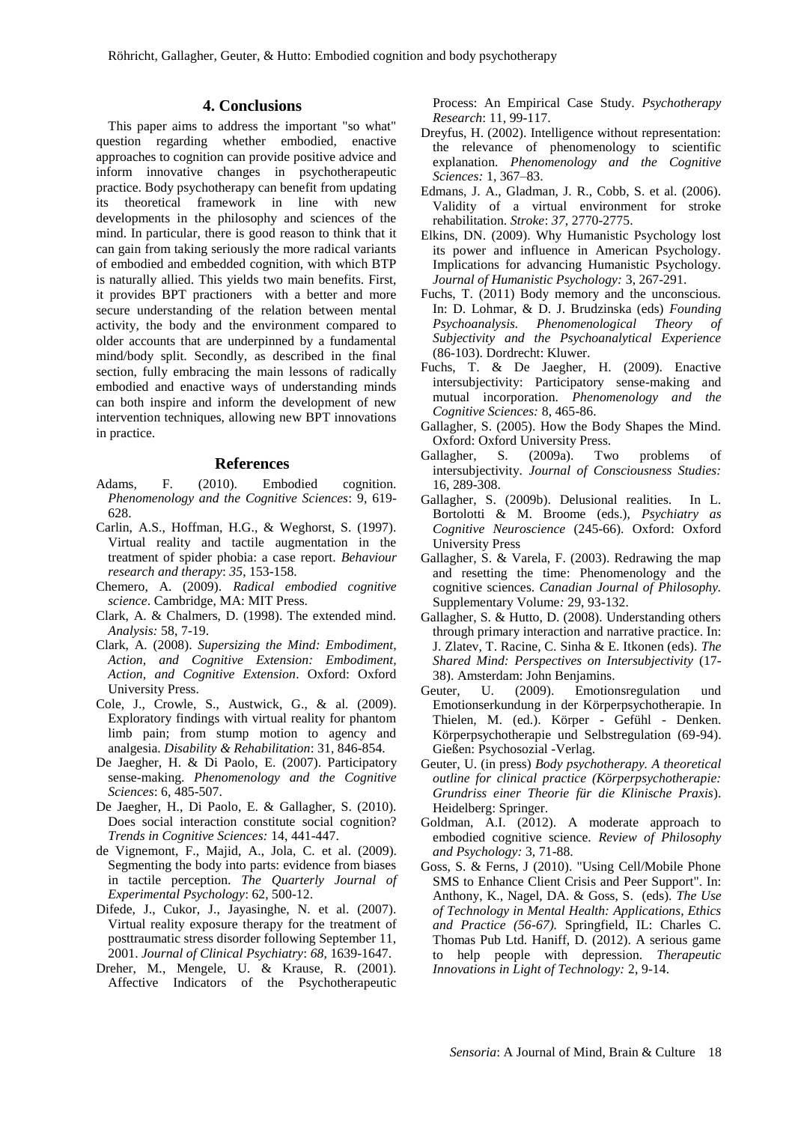### **4. Conclusions**

This paper aims to address the important "so what" question regarding whether embodied, enactive approaches to cognition can provide positive advice and inform innovative changes in psychotherapeutic practice. Body psychotherapy can benefit from updating its theoretical framework in line with new developments in the philosophy and sciences of the mind. In particular, there is good reason to think that it can gain from taking seriously the more radical variants of embodied and embedded cognition, with which BTP is naturally allied. This yields two main benefits. First, it provides BPT practioners with a better and more secure understanding of the relation between mental activity, the body and the environment compared to older accounts that are underpinned by a fundamental mind/body split. Secondly, as described in the final section, fully embracing the main lessons of radically embodied and enactive ways of understanding minds can both inspire and inform the development of new intervention techniques, allowing new BPT innovations in practice.

#### **References**

- Adams, F. (2010). Embodied cognition. *Phenomenology and the Cognitive Sciences*: 9, 619- 628.
- Carlin, A.S., Hoffman, H.G., & Weghorst, S. (1997). Virtual reality and tactile augmentation in the treatment of spider phobia: a case report. *Behaviour research and therapy*: *35*, 153-158.
- Chemero, A. (2009). *Radical embodied cognitive science*. Cambridge, MA: MIT Press.
- Clark, A. & Chalmers, D. (1998). The extended mind. *Analysis:* 58, 7-19.
- Clark, A. (2008). *Supersizing the Mind: Embodiment, Action, and Cognitive Extension: Embodiment, Action, and Cognitive Extension*. Oxford: Oxford University Press.
- Cole, J., Crowle, S., Austwick, G., & al. (2009). Exploratory findings with virtual reality for phantom limb pain; from stump motion to agency and analgesia. *Disability & Rehabilitation*: 31, 846-854.
- De Jaegher, H. & Di Paolo, E. (2007). Participatory sense-making. *Phenomenology and the Cognitive Sciences*: 6, 485-507.
- De Jaegher, H., Di Paolo, E. & Gallagher, S. (2010). Does social interaction constitute social cognition? *Trends in Cognitive Sciences:* 14, 441-447.
- de Vignemont, F., Majid, A., Jola, C. et al. (2009). Segmenting the body into parts: evidence from biases in tactile perception. *The Quarterly Journal of Experimental Psychology*: 62, 500-12.
- Difede, J., Cukor, J., Jayasinghe, N. et al. (2007). Virtual reality exposure therapy for the treatment of posttraumatic stress disorder following September 11, 2001. *Journal of Clinical Psychiatry*: *68*, 1639-1647.
- Dreher, M., Mengele, U. & Krause, R. (2001). Affective Indicators of the Psychotherapeutic

Process: An Empirical Case Study. *Psychotherapy Research*: 11, 99-117.

- Dreyfus, H. (2002). Intelligence without representation: the relevance of phenomenology to scientific explanation. *Phenomenology and the Cognitive Sciences:* 1, 367–83.
- Edmans, J. A., Gladman, J. R., Cobb, S. et al. (2006). Validity of a virtual environment for stroke rehabilitation. *Stroke*: *37*, 2770-2775.
- Elkins, DN. (2009). Why Humanistic Psychology lost its power and influence in American Psychology. Implications for advancing Humanistic Psychology. *Journal of Humanistic Psychology:* 3, 267-291.
- Fuchs, T. (2011) Body memory and the unconscious. In: D. Lohmar, & D. J. Brudzinska (eds) *Founding Psychoanalysis. Phenomenological Theory of Subjectivity and the Psychoanalytical Experience* (86-103). Dordrecht: Kluwer.
- Fuchs, T. & De Jaegher, H. (2009). Enactive intersubjectivity: Participatory sense-making and mutual incorporation. *Phenomenology and the Cognitive Sciences:* 8, 465-86.
- Gallagher, S. (2005). How the Body Shapes the Mind. Oxford: Oxford University Press.
- Gallagher, S. (2009a). Two problems of intersubjectivity. *Journal of Consciousness Studies:* 16, 289-308.
- Gallagher, S. (2009b). Delusional realities. In L. Bortolotti & M. Broome (eds.), *Psychiatry as Cognitive Neuroscience* (245-66). Oxford: Oxford University Press
- Gallagher, S. & Varela, F. (2003). Redrawing the map and resetting the time: Phenomenology and the cognitive sciences. *Canadian Journal of Philosophy.*  Supplementary Volume*:* 29, 93-132.
- Gallagher, S. & Hutto, D. (2008). Understanding others through primary interaction and narrative practice. In: J. Zlatev, T. Racine, C. Sinha & E. Itkonen (eds). *The Shared Mind: Perspectives on Intersubjectivity* (17- 38). Amsterdam: John Benjamins.
- Geuter, U. (2009). Emotionsregulation und Emotionserkundung in der Körperpsychotherapie. In Thielen, M. (ed.). Körper - Gefühl - Denken. Körperpsychotherapie und Selbstregulation (69-94). Gießen: Psychosozial -Verlag.
- Geuter, U. (in press) *Body psychotherapy. A theoretical outline for clinical practice (Körperpsychotherapie: Grundriss einer Theorie für die Klinische Praxis*). Heidelberg: Springer.
- Goldman, A.I. (2012). A moderate approach to embodied cognitive science. *Review of Philosophy and Psychology:* 3, 71-88.
- Goss, S. & Ferns, J (2010). "Using Cell/Mobile Phone SMS to Enhance Client Crisis and Peer Support". In: Anthony, K., Nagel, DA. & Goss, S. (eds). *The Use of Technology in Mental Health: Applications, Ethics and Practice (56-67).* Springfield, IL: Charles C. Thomas Pub Ltd. Haniff, D. (2012). A serious game to help people with depression. *Therapeutic Innovations in Light of Technology:* 2, 9-14.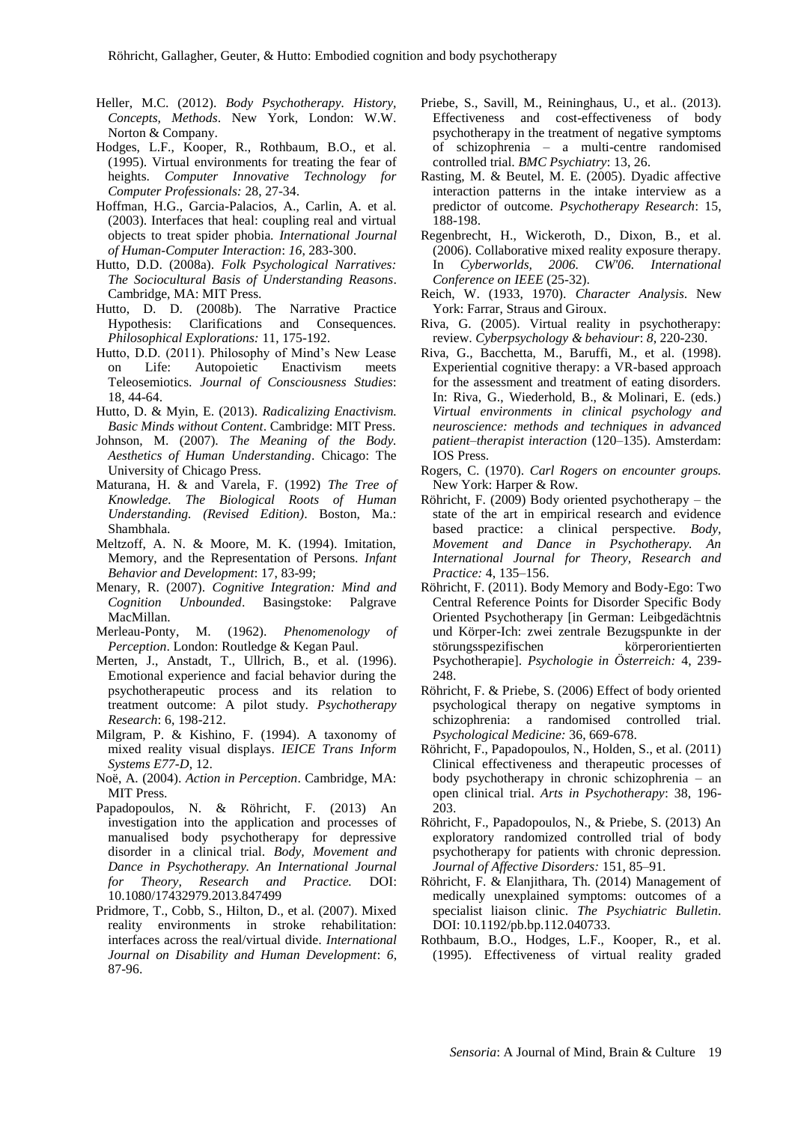- Heller, M.C. (2012). *Body Psychotherapy. History, Concepts, Methods*. New York, London: W.W. Norton & Company.
- Hodges, L.F., Kooper, R., Rothbaum, B.O., et al. (1995). Virtual environments for treating the fear of heights. *Computer Innovative Technology for Computer Professionals:* 28, 27-34.
- Hoffman, H.G., Garcia-Palacios, A., Carlin, A. et al. (2003). Interfaces that heal: coupling real and virtual objects to treat spider phobia. *International Journal of Human-Computer Interaction*: *16*, 283-300.
- Hutto, D.D. (2008a). *Folk Psychological Narratives: The Sociocultural Basis of Understanding Reasons*. Cambridge, MA: MIT Press.
- Hutto, D. D. (2008b). The Narrative Practice Hypothesis: Clarifications and Consequences. *Philosophical Explorations:* 11, 175-192.
- Hutto, D.D. (2011). Philosophy of Mind's New Lease on Life: Autopoietic Enactivism meets Teleosemiotics. *Journal of Consciousness Studies*: 18, 44-64.
- Hutto, D. & Myin, E. (2013). *Radicalizing Enactivism. Basic Minds without Content*. Cambridge: MIT Press.
- Johnson, M. (2007). *The Meaning of the Body. Aesthetics of Human Understanding*. Chicago: The University of Chicago Press.
- Maturana, H. & and Varela, F. (1992) *The Tree of Knowledge. The Biological Roots of Human Understanding. (Revised Edition)*. Boston, Ma.: Shambhala.
- Meltzoff, A. N. & Moore, M. K. (1994). Imitation, Memory, and the Representation of Persons. *Infant Behavior and Development*: 17, 83-99;
- Menary, R. (2007). *Cognitive Integration: Mind and Cognition Unbounded*. Basingstoke: Palgrave MacMillan.
- Merleau-Ponty, M. (1962). *Phenomenology Perception*. London: Routledge & Kegan Paul.
- Merten, J., Anstadt, T., Ullrich, B., et al. (1996). Emotional experience and facial behavior during the psychotherapeutic process and its relation to treatment outcome: A pilot study. *Psychotherapy Research*: 6, 198-212.
- Milgram, P. & Kishino, F. (1994). A taxonomy of mixed reality visual displays. *IEICE Trans Inform Systems E77-D*, 12.
- Noë, A. (2004). *Action in Perception*. Cambridge, MA: MIT Press.
- Papadopoulos, N. & Röhricht, F. (2013) An investigation into the application and processes of manualised body psychotherapy for depressive disorder in a clinical trial. *Body, Movement and Dance in Psychotherapy. An International Journal for Theory, Research and Practice.* DOI: 10.1080/17432979.2013.847499
- Pridmore, T., Cobb, S., Hilton, D., et al. (2007). Mixed reality environments in stroke rehabilitation: interfaces across the real/virtual divide. *International Journal on Disability and Human Development*: *6*, 87-96.
- Priebe, S., Savill, M., Reininghaus, U., et al.. (2013). Effectiveness and cost-effectiveness of body psychotherapy in the treatment of negative symptoms of schizophrenia – a multi-centre randomised controlled trial. *BMC Psychiatry*: 13, 26.
- Rasting, M. & Beutel, M. E. (2005). Dyadic affective interaction patterns in the intake interview as a predictor of outcome. *Psychotherapy Research*: 15, 188-198.
- Regenbrecht, H., Wickeroth, D., Dixon, B., et al. (2006). Collaborative mixed reality exposure therapy. In *Cyberworlds, 2006. CW'06. International Conference on IEEE* (25-32).
- Reich, W. (1933, 1970). *Character Analysis*. New York: Farrar, Straus and Giroux.
- Riva, G. (2005). Virtual reality in psychotherapy: review. *Cyberpsychology & behaviour*: *8*, 220-230.
- Riva, G., Bacchetta, M., Baruffi, M., et al. (1998). Experiential cognitive therapy: a VR-based approach for the assessment and treatment of eating disorders. In: Riva, G., Wiederhold, B., & Molinari, E. (eds.) *Virtual environments in clinical psychology and neuroscience: methods and techniques in advanced patient–therapist interaction* (120–135). Amsterdam: IOS Press.
- Rogers, C. (1970). *Carl Rogers on encounter groups.* New York: Harper & Row.
- Röhricht, F. (2009) Body oriented psychotherapy the state of the art in empirical research and evidence based practice: a clinical perspective. *Body, Movement and Dance in Psychotherapy. An International Journal for Theory, Research and Practice:* 4, 135–156.
- Röhricht, F. (2011). Body Memory and Body-Ego: Two Central Reference Points for Disorder Specific Body Oriented Psychotherapy [in German: Leibgedächtnis und Körper-Ich: zwei zentrale Bezugspunkte in der störungsspezifischen körperorientierten Psychotherapie]. *Psychologie in Österreich:* 4, 239- 248.
- Röhricht, F. & Priebe, S. (2006) Effect of body oriented psychological therapy on negative symptoms in schizophrenia: a randomised controlled trial. *Psychological Medicine:* 36, 669-678.
- Röhricht, F., Papadopoulos, N., Holden, S., et al. (2011) Clinical effectiveness and therapeutic processes of body psychotherapy in chronic schizophrenia – an open clinical trial. *Arts in Psychotherapy*: 38, 196- 203.
- Röhricht, F., Papadopoulos, N., & Priebe, S. (2013) An exploratory randomized controlled trial of body psychotherapy for patients with chronic depression. *Journal of Affective Disorders:* 151, 85–91.
- Röhricht, F. & Elanjithara, Th. (2014) Management of medically unexplained symptoms: outcomes of a specialist liaison clinic. *The Psychiatric Bulletin*. DOI: 10.1192/pb.bp.112.040733.
- Rothbaum, B.O., Hodges, L.F., Kooper, R., et al. (1995). Effectiveness of virtual reality graded